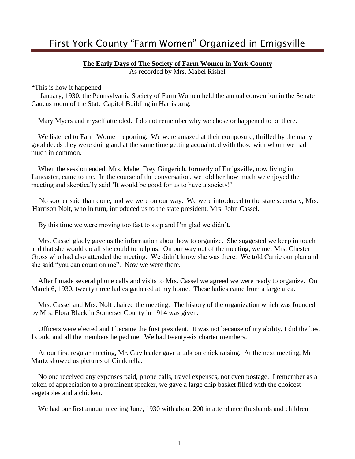### **The Early Days of The Society of Farm Women in York County**

As recorded by Mrs. Mabel Rishel

**"**This is how it happened - - - -

 January, 1930, the Pennsylvania Society of Farm Women held the annual convention in the Senate Caucus room of the State Capitol Building in Harrisburg.

Mary Myers and myself attended. I do not remember why we chose or happened to be there.

 We listened to Farm Women reporting. We were amazed at their composure, thrilled by the many good deeds they were doing and at the same time getting acquainted with those with whom we had much in common.

 When the session ended, Mrs. Mabel Frey Gingerich, formerly of Emigsville, now living in Lancaster, came to me. In the course of the conversation, we told her how much we enjoyed the meeting and skeptically said 'It would be good for us to have a society!'

 No sooner said than done, and we were on our way. We were introduced to the state secretary, Mrs. Harrison Nolt, who in turn, introduced us to the state president, Mrs. John Cassel.

By this time we were moving too fast to stop and I'm glad we didn't.

 Mrs. Cassel gladly gave us the information about how to organize. She suggested we keep in touch and that she would do all she could to help us. On our way out of the meeting, we met Mrs. Chester Gross who had also attended the meeting. We didn't know she was there. We told Carrie our plan and she said "you can count on me". Now we were there.

 After I made several phone calls and visits to Mrs. Cassel we agreed we were ready to organize. On March 6, 1930, twenty three ladies gathered at my home. These ladies came from a large area.

 Mrs. Cassel and Mrs. Nolt chaired the meeting. The history of the organization which was founded by Mrs. Flora Black in Somerset County in 1914 was given.

 Officers were elected and I became the first president. It was not because of my ability, I did the best I could and all the members helped me. We had twenty-six charter members.

 At our first regular meeting, Mr. Guy leader gave a talk on chick raising. At the next meeting, Mr. Martz showed us pictures of Cinderella.

 No one received any expenses paid, phone calls, travel expenses, not even postage. I remember as a token of appreciation to a prominent speaker, we gave a large chip basket filled with the choicest vegetables and a chicken.

We had our first annual meeting June, 1930 with about 200 in attendance (husbands and children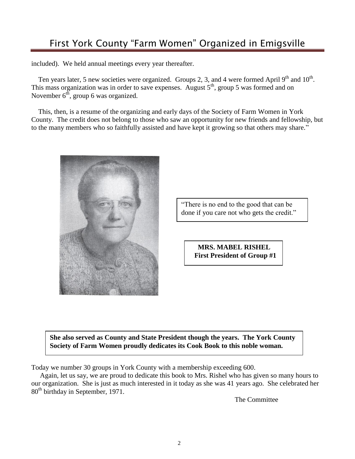included). We held annual meetings every year thereafter.

Ten years later, 5 new societies were organized. Groups 2, 3, and 4 were formed April  $9<sup>th</sup>$  and  $10<sup>th</sup>$ . This mass organization was in order to save expenses. August  $5<sup>th</sup>$ , group 5 was formed and on November  $6<sup>th</sup>$ , group 6 was organized.

 This, then, is a resume of the organizing and early days of the Society of Farm Women in York County. The credit does not belong to those who saw an opportunity for new friends and fellowship, but to the many members who so faithfully assisted and have kept it growing so that others may share."



"There is no end to the good that can be done if you care not who gets the credit."

> **MRS. MABEL RISHEL First President of Group #1**

**She also served as County and State President though the years. The York County Society of Farm Women proudly dedicates its Cook Book to this noble woman.**

Today we number 30 groups in York County with a membership exceeding 600.

 Again, let us say, we are proud to dedicate this book to Mrs. Rishel who has given so many hours to our organization. She is just as much interested in it today as she was 41 years ago. She celebrated her 80<sup>th</sup> birthday in September, 1971.

The Committee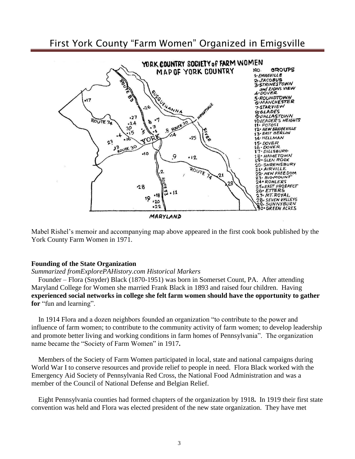

Mabel Rishel's memoir and accompanying map above appeared in the first cook book published by the York County Farm Women in 1971.

#### **Founding of the State Organization**

#### *Summarized fromExplorePAHistory.com Historical Markers*

 Founder – Flora (Snyder) Black (1870-1951) was born in Somerset Count, PA. After attending Maryland College for Women she married Frank Black in 1893 and raised four children. Having **experienced social networks in college she felt farm women should have the opportunity to gather for** "fun and learning".

 In 1914 Flora and a dozen neighbors founded an organization "to contribute to the power and influence of farm women; to contribute to the community activity of farm women; to develop leadership and promote better living and working conditions in farm homes of Pennsylvania". The organization name became the "Society of Farm Women" in 1917**.**

 Members of the Society of Farm Women participated in local, state and national campaigns during World War I to conserve resources and provide relief to people in need. Flora Black worked with the Emergency Aid Society of Pennsylvania Red Cross, the National Food Administration and was a member of the Council of National Defense and Belgian Relief.

 Eight Pennsylvania counties had formed chapters of the organization by 1918**.** In 1919 their first state convention was held and Flora was elected president of the new state organization. They have met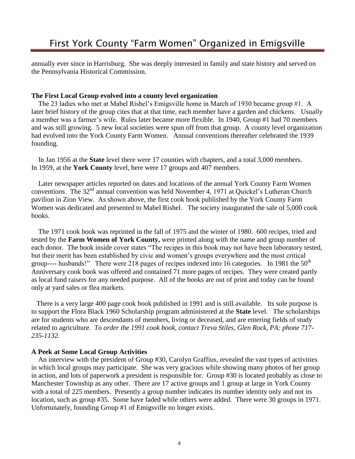annually ever since in Harrisburg. She was deeply interested in family and state history and served on the Pennsylvania Historical Commission*.* 

### **The First Local Group evolved into a county level organization**

 The 23 ladies who met at Mabel Rishel's Emigsville home in March of 1930 became group #1. A later brief history of the group cites that at that time, each member have a garden and chickens. Usually a member was a farmer's wife. Rules later became more flexible. In 1940, Group #1 had 70 members and was still growing. 5 new local societies were spun off from that group. A county level organization had evolved into the York County Farm Women. Annual conventions thereafter celebrated the 1939 founding.

 In Jan 1956 at the **State** level there were 17 counties with chapters, and a total 3,000 members. In 1959, at the **York County** level, here were 17 groups and 407 members.

 Later newspaper articles reported on dates and locations of the annual York County Farm Women conventions. The 32<sup>nd</sup> annual convention was held November 4, 1971 at Quickel's Lutheran Church pavilion in Zion View. As shown above, the first cook book published by the York County Farm Women was dedicated and presented to Mabel Rishel. The society inaugurated the sale of 5,000 cook books.

 The 1971 cook book was reprinted in the fall of 1975 and the winter of 1980. 600 recipes, tried and tested by the **Farm Women of York County,** were printed along with the name and group number of each donor. The book inside cover states "The recipes in this book may not have been laboratory tested, but their merit has been established by civic and women's groups everywhere and the most critical group---- husbands!" There were 218 pages of recipes indexed into 16 categories. In 1981 the  $50<sup>th</sup>$ Anniversary cook book was offered and contained 71 more pages of recipes. They were created partly as local fund raisers for any needed purpose. All of the books are out of print and today can be found only at yard sales or flea markets.

 There is a very large 400 page cook book published in 1991 and is still available. Its sole purpose is to support the Flora Black 1960 Scholarship program administered at the **State** level. The scholarships are for students who are descendants of members, living or deceased, and are entering fields of study related to agriculture. *To order the 1991 cook book, contact Treva Stiles, Glen Rock, PA: phone 717- 235-1132.*

### **A Peek at Some Local Group Activities**

 An interview with the president of Group #30, Carolyn Graffius, revealed the vast types of activities in which local groups may participate. She was very gracious while showing many photos of her group in action, and lots of paperwork a president is responsible for. Group #30 is located probably as close to Manchester Township as any other. There are 17 active groups and 1 group at large in York County with a total of 225 members. Presently a group number indicates its number identity only and not its location, such as group #35. Some have faded while others were added. There were 30 groups in 1971. Unfortunately, founding Group #1 of Emigsville no longer exists.